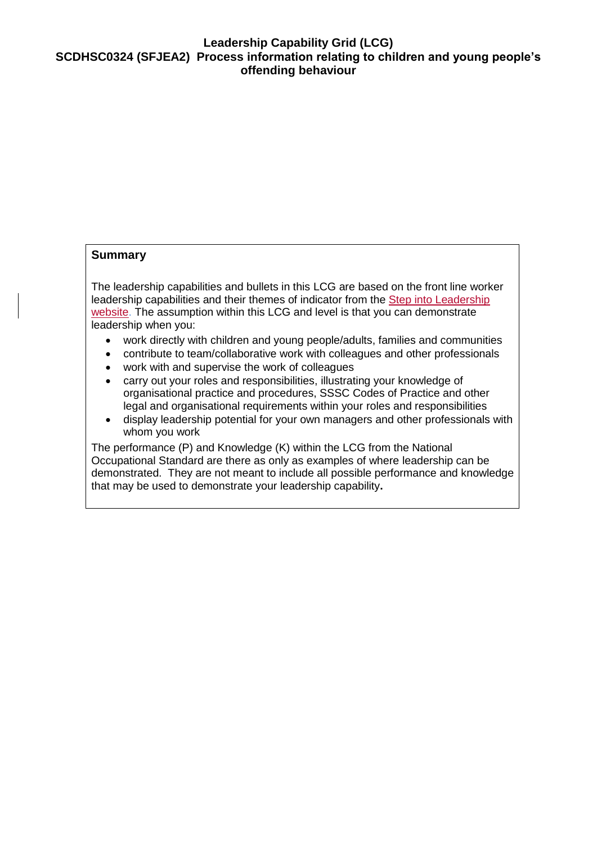## **Leadership Capability Grid (LCG) SCDHSC0324 (SFJEA2) Process information relating to children and young people's offending behaviour**

## **Summary**

The leadership capabilities and bullets in this LCG are based on the front line worker leadership capabilities and their themes of indicator from the Step into Leadership [website.](http://www.stepintoleadership.info/) The assumption within this LCG and level is that you can demonstrate leadership when you:

- work directly with children and young people/adults, families and communities
- contribute to team/collaborative work with colleagues and other professionals
- work with and supervise the work of colleagues
- carry out your roles and responsibilities, illustrating your knowledge of organisational practice and procedures, SSSC Codes of Practice and other legal and organisational requirements within your roles and responsibilities
- display leadership potential for your own managers and other professionals with whom you work

The performance (P) and Knowledge (K) within the LCG from the National Occupational Standard are there as only as examples of where leadership can be demonstrated. They are not meant to include all possible performance and knowledge that may be used to demonstrate your leadership capability**.**